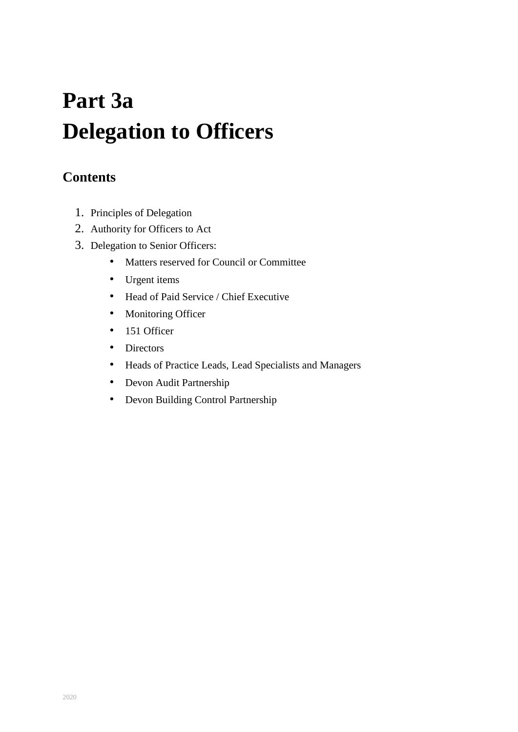# **Part 3a Delegation to Officers**

# **Contents**

- 1. Principles of Delegation
- 2. Authority for Officers to Act
- 3. Delegation to Senior Officers:
	- Matters reserved for Council or Committee
	- Urgent items
	- Head of Paid Service / Chief Executive
	- Monitoring Officer
	- 151 Officer
	- Directors
	- Heads of Practice Leads, Lead Specialists and Managers
	- Devon Audit Partnership
	- Devon Building Control Partnership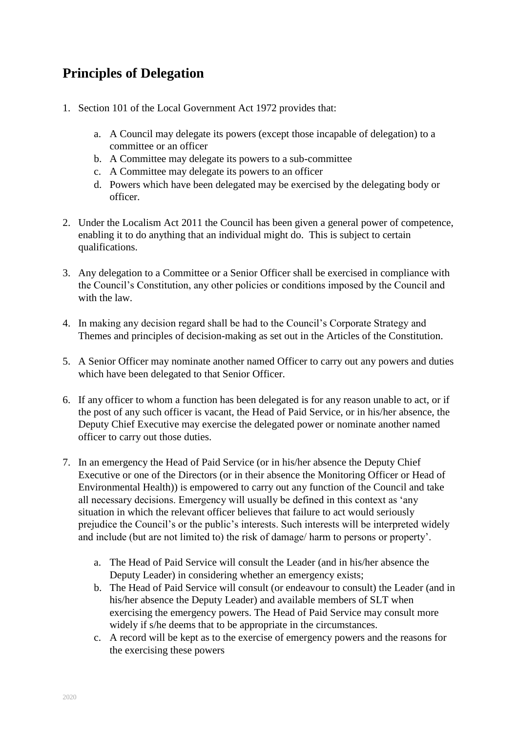# **Principles of Delegation**

- 1. Section 101 of the Local Government Act 1972 provides that:
	- a. A Council may delegate its powers (except those incapable of delegation) to a committee or an officer
	- b. A Committee may delegate its powers to a sub-committee
	- c. A Committee may delegate its powers to an officer
	- d. Powers which have been delegated may be exercised by the delegating body or officer.
- 2. Under the Localism Act 2011 the Council has been given a general power of competence, enabling it to do anything that an individual might do. This is subject to certain qualifications.
- 3. Any delegation to a Committee or a Senior Officer shall be exercised in compliance with the Council's Constitution, any other policies or conditions imposed by the Council and with the law.
- 4. In making any decision regard shall be had to the Council's Corporate Strategy and Themes and principles of decision-making as set out in the Articles of the Constitution.
- 5. A Senior Officer may nominate another named Officer to carry out any powers and duties which have been delegated to that Senior Officer.
- 6. If any officer to whom a function has been delegated is for any reason unable to act, or if the post of any such officer is vacant, the Head of Paid Service, or in his/her absence, the Deputy Chief Executive may exercise the delegated power or nominate another named officer to carry out those duties.
- 7. In an emergency the Head of Paid Service (or in his/her absence the Deputy Chief Executive or one of the Directors (or in their absence the Monitoring Officer or Head of Environmental Health)) is empowered to carry out any function of the Council and take all necessary decisions. Emergency will usually be defined in this context as 'any situation in which the relevant officer believes that failure to act would seriously prejudice the Council's or the public's interests. Such interests will be interpreted widely and include (but are not limited to) the risk of damage/ harm to persons or property'.
	- a. The Head of Paid Service will consult the Leader (and in his/her absence the Deputy Leader) in considering whether an emergency exists;
	- b. The Head of Paid Service will consult (or endeavour to consult) the Leader (and in his/her absence the Deputy Leader) and available members of SLT when exercising the emergency powers. The Head of Paid Service may consult more widely if s/he deems that to be appropriate in the circumstances.
	- c. A record will be kept as to the exercise of emergency powers and the reasons for the exercising these powers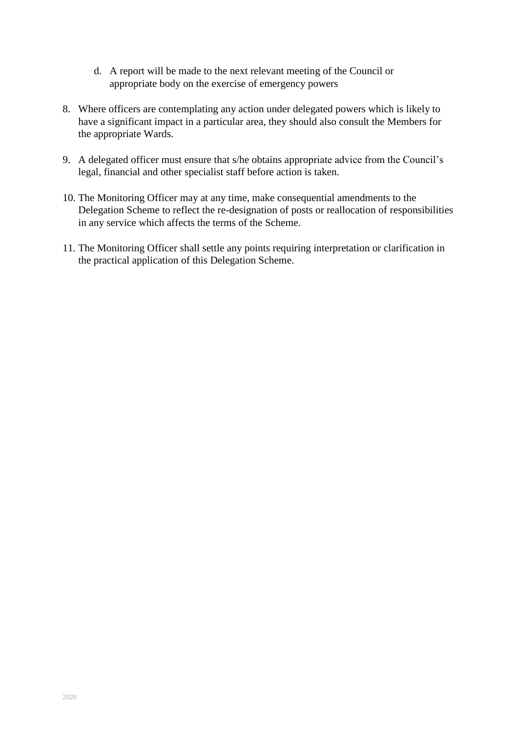- d. A report will be made to the next relevant meeting of the Council or appropriate body on the exercise of emergency powers
- 8. Where officers are contemplating any action under delegated powers which is likely to have a significant impact in a particular area, they should also consult the Members for the appropriate Wards.
- 9. A delegated officer must ensure that s/he obtains appropriate advice from the Council's legal, financial and other specialist staff before action is taken.
- 10. The Monitoring Officer may at any time, make consequential amendments to the Delegation Scheme to reflect the re-designation of posts or reallocation of responsibilities in any service which affects the terms of the Scheme.
- 11. The Monitoring Officer shall settle any points requiring interpretation or clarification in the practical application of this Delegation Scheme.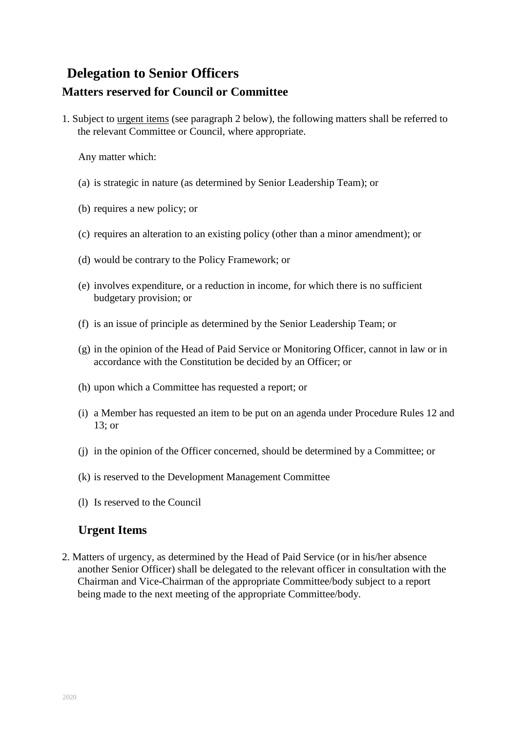# **Delegation to Senior Officers Matters reserved for Council or Committee**

1. Subject to urgent items (see paragraph 2 below), the following matters shall be referred to the relevant Committee or Council, where appropriate.

Any matter which:

- (a) is strategic in nature (as determined by Senior Leadership Team); or
- (b) requires a new policy; or
- (c) requires an alteration to an existing policy (other than a minor amendment); or
- (d) would be contrary to the Policy Framework; or
- (e) involves expenditure, or a reduction in income, for which there is no sufficient budgetary provision; or
- (f) is an issue of principle as determined by the Senior Leadership Team; or
- (g) in the opinion of the Head of Paid Service or Monitoring Officer, cannot in law or in accordance with the Constitution be decided by an Officer; or
- (h) upon which a Committee has requested a report; or
- (i) a Member has requested an item to be put on an agenda under Procedure Rules 12 and 13; or
- (j) in the opinion of the Officer concerned, should be determined by a Committee; or
- (k) is reserved to the Development Management Committee
- (l) Is reserved to the Council

#### **Urgent Items**

2. Matters of urgency, as determined by the Head of Paid Service (or in his/her absence another Senior Officer) shall be delegated to the relevant officer in consultation with the Chairman and Vice-Chairman of the appropriate Committee/body subject to a report being made to the next meeting of the appropriate Committee/body.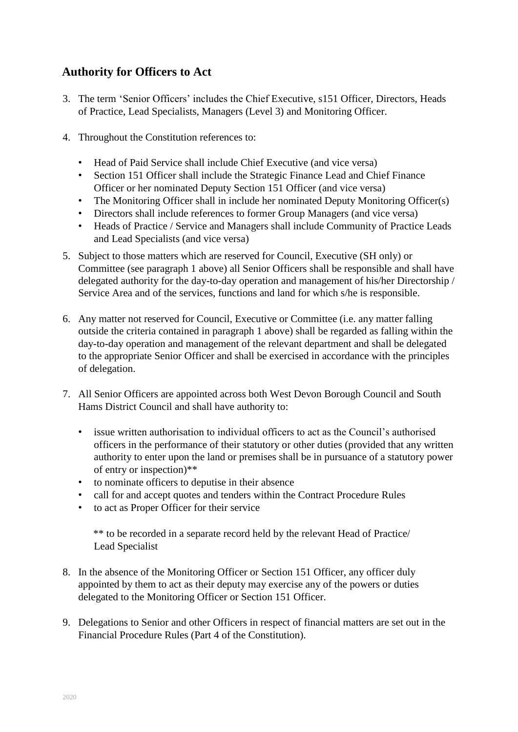## **Authority for Officers to Act**

- 3. The term 'Senior Officers' includes the Chief Executive, s151 Officer, Directors, Heads of Practice, Lead Specialists, Managers (Level 3) and Monitoring Officer.
- 4. Throughout the Constitution references to:
	- Head of Paid Service shall include Chief Executive (and vice versa)
	- Section 151 Officer shall include the Strategic Finance Lead and Chief Finance Officer or her nominated Deputy Section 151 Officer (and vice versa)
	- The Monitoring Officer shall in include her nominated Deputy Monitoring Officer(s)
	- Directors shall include references to former Group Managers (and vice versa)
	- Heads of Practice / Service and Managers shall include Community of Practice Leads and Lead Specialists (and vice versa)
- 5. Subject to those matters which are reserved for Council, Executive (SH only) or Committee (see paragraph 1 above) all Senior Officers shall be responsible and shall have delegated authority for the day-to-day operation and management of his/her Directorship / Service Area and of the services, functions and land for which s/he is responsible.
- 6. Any matter not reserved for Council, Executive or Committee (i.e. any matter falling outside the criteria contained in paragraph 1 above) shall be regarded as falling within the day-to-day operation and management of the relevant department and shall be delegated to the appropriate Senior Officer and shall be exercised in accordance with the principles of delegation.
- 7. All Senior Officers are appointed across both West Devon Borough Council and South Hams District Council and shall have authority to:
	- issue written authorisation to individual officers to act as the Council's authorised officers in the performance of their statutory or other duties (provided that any written authority to enter upon the land or premises shall be in pursuance of a statutory power of entry or inspection)\*\*
	- to nominate officers to deputise in their absence
	- call for and accept quotes and tenders within the Contract Procedure Rules
	- to act as Proper Officer for their service

 \*\* to be recorded in a separate record held by the relevant Head of Practice/ Lead Specialist

- 8. In the absence of the Monitoring Officer or Section 151 Officer, any officer duly appointed by them to act as their deputy may exercise any of the powers or duties delegated to the Monitoring Officer or Section 151 Officer.
- 9. Delegations to Senior and other Officers in respect of financial matters are set out in the Financial Procedure Rules (Part 4 of the Constitution).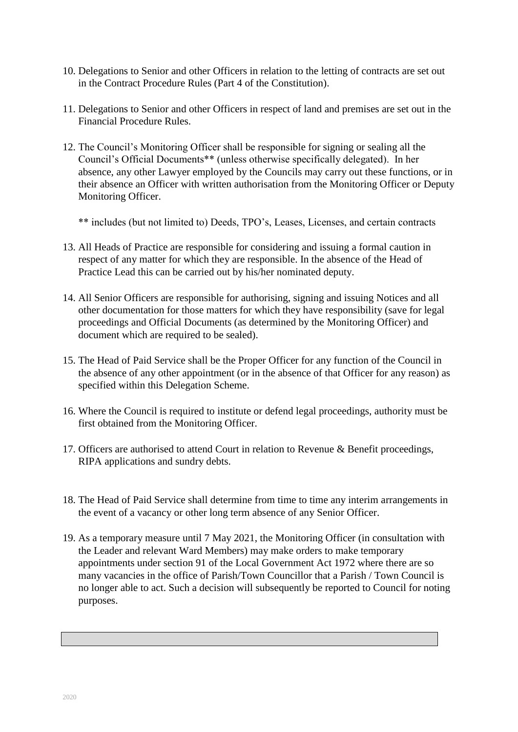- 10. Delegations to Senior and other Officers in relation to the letting of contracts are set out in the Contract Procedure Rules (Part 4 of the Constitution).
- 11. Delegations to Senior and other Officers in respect of land and premises are set out in the Financial Procedure Rules.
- 12. The Council's Monitoring Officer shall be responsible for signing or sealing all the Council's Official Documents\*\* (unless otherwise specifically delegated). In her absence, any other Lawyer employed by the Councils may carry out these functions, or in their absence an Officer with written authorisation from the Monitoring Officer or Deputy Monitoring Officer.

\*\* includes (but not limited to) Deeds, TPO's, Leases, Licenses, and certain contracts

- 13. All Heads of Practice are responsible for considering and issuing a formal caution in respect of any matter for which they are responsible. In the absence of the Head of Practice Lead this can be carried out by his/her nominated deputy.
- 14. All Senior Officers are responsible for authorising, signing and issuing Notices and all other documentation for those matters for which they have responsibility (save for legal proceedings and Official Documents (as determined by the Monitoring Officer) and document which are required to be sealed).
- 15. The Head of Paid Service shall be the Proper Officer for any function of the Council in the absence of any other appointment (or in the absence of that Officer for any reason) as specified within this Delegation Scheme.
- 16. Where the Council is required to institute or defend legal proceedings, authority must be first obtained from the Monitoring Officer.
- 17. Officers are authorised to attend Court in relation to Revenue & Benefit proceedings, RIPA applications and sundry debts.
- 18. The Head of Paid Service shall determine from time to time any interim arrangements in the event of a vacancy or other long term absence of any Senior Officer.
- 19. As a temporary measure until 7 May 2021, the Monitoring Officer (in consultation with the Leader and relevant Ward Members) may make orders to make temporary appointments under section 91 of the Local Government Act 1972 where there are so many vacancies in the office of Parish/Town Councillor that a Parish / Town Council is no longer able to act. Such a decision will subsequently be reported to Council for noting purposes.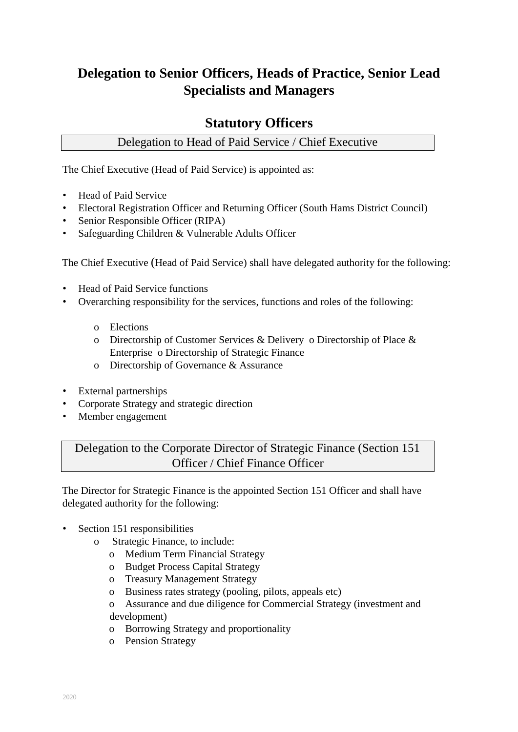# **Delegation to Senior Officers, Heads of Practice, Senior Lead Specialists and Managers**

## **Statutory Officers**

## Delegation to Head of Paid Service / Chief Executive

The Chief Executive (Head of Paid Service) is appointed as:

- Head of Paid Service
- Electoral Registration Officer and Returning Officer (South Hams District Council)
- Senior Responsible Officer (RIPA)
- Safeguarding Children & Vulnerable Adults Officer

The Chief Executive (Head of Paid Service) shall have delegated authority for the following:

- Head of Paid Service functions
- Overarching responsibility for the services, functions and roles of the following:
	- o Elections
	- o Directorship of Customer Services & Delivery o Directorship of Place & Enterprise o Directorship of Strategic Finance
	- o Directorship of Governance & Assurance
- External partnerships
- Corporate Strategy and strategic direction
- Member engagement

Delegation to the Corporate Director of Strategic Finance (Section 151 Officer / Chief Finance Officer

The Director for Strategic Finance is the appointed Section 151 Officer and shall have delegated authority for the following:

- Section 151 responsibilities
	- o Strategic Finance, to include:
		- o Medium Term Financial Strategy
		- o Budget Process Capital Strategy
		- o Treasury Management Strategy
		- o Business rates strategy (pooling, pilots, appeals etc)
		- o Assurance and due diligence for Commercial Strategy (investment and development)
		- o Borrowing Strategy and proportionality
		- o Pension Strategy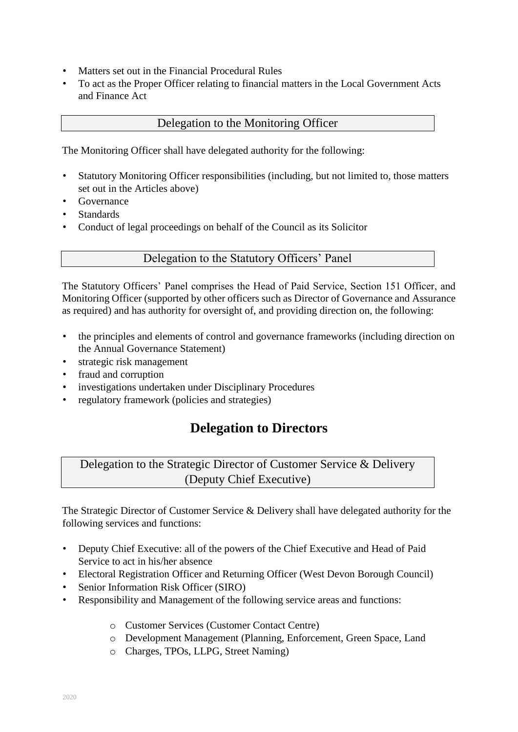- Matters set out in the Financial Procedural Rules
- To act as the Proper Officer relating to financial matters in the Local Government Acts and Finance Act

#### Delegation to the Monitoring Officer

The Monitoring Officer shall have delegated authority for the following:

- Statutory Monitoring Officer responsibilities (including, but not limited to, those matters set out in the Articles above)
- Governance
- Standards
- Conduct of legal proceedings on behalf of the Council as its Solicitor

#### Delegation to the Statutory Officers' Panel

The Statutory Officers' Panel comprises the Head of Paid Service, Section 151 Officer, and Monitoring Officer (supported by other officers such as Director of Governance and Assurance as required) and has authority for oversight of, and providing direction on, the following:

- the principles and elements of control and governance frameworks (including direction on the Annual Governance Statement)
- strategic risk management
- fraud and corruption
- investigations undertaken under Disciplinary Procedures
- regulatory framework (policies and strategies)

## **Delegation to Directors**

Delegation to the Strategic Director of Customer Service & Delivery (Deputy Chief Executive)

The Strategic Director of Customer Service & Delivery shall have delegated authority for the following services and functions:

- Deputy Chief Executive: all of the powers of the Chief Executive and Head of Paid Service to act in his/her absence
- Electoral Registration Officer and Returning Officer (West Devon Borough Council)
- Senior Information Risk Officer (SIRO)
- Responsibility and Management of the following service areas and functions:
	- o Customer Services (Customer Contact Centre)
	- o Development Management (Planning, Enforcement, Green Space, Land
	- o Charges, TPOs, LLPG, Street Naming)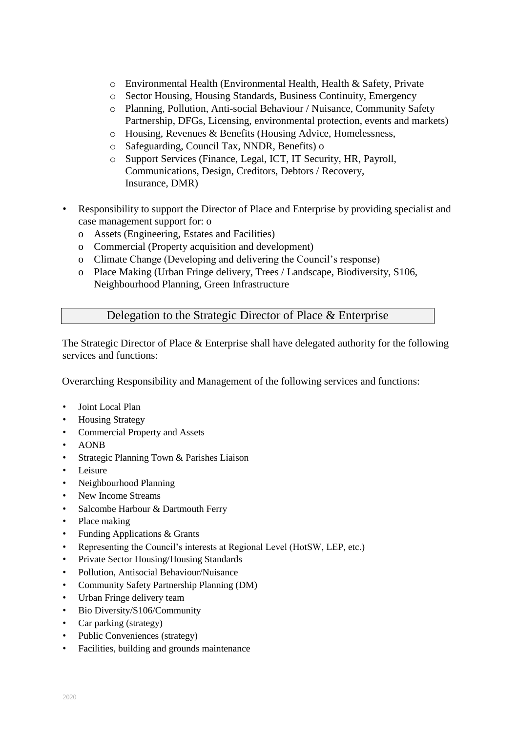- o Environmental Health (Environmental Health, Health & Safety, Private
- o Sector Housing, Housing Standards, Business Continuity, Emergency
- o Planning, Pollution, Anti-social Behaviour / Nuisance, Community Safety Partnership, DFGs, Licensing, environmental protection, events and markets)
- o Housing, Revenues & Benefits (Housing Advice, Homelessness,
- o Safeguarding, Council Tax, NNDR, Benefits) o
- o Support Services (Finance, Legal, ICT, IT Security, HR, Payroll, Communications, Design, Creditors, Debtors / Recovery, Insurance, DMR)
- Responsibility to support the Director of Place and Enterprise by providing specialist and case management support for: o
	- o Assets (Engineering, Estates and Facilities)
	- o Commercial (Property acquisition and development)
	- o Climate Change (Developing and delivering the Council's response)
	- o Place Making (Urban Fringe delivery, Trees / Landscape, Biodiversity, S106, Neighbourhood Planning, Green Infrastructure

#### Delegation to the Strategic Director of Place & Enterprise

The Strategic Director of Place & Enterprise shall have delegated authority for the following services and functions:

Overarching Responsibility and Management of the following services and functions:

- Joint Local Plan
- Housing Strategy
- Commercial Property and Assets
- AONB
- Strategic Planning Town & Parishes Liaison
- Leisure
- Neighbourhood Planning
- New Income Streams
- Salcombe Harbour & Dartmouth Ferry
- Place making
- Funding Applications & Grants
- Representing the Council's interests at Regional Level (HotSW, LEP, etc.)
- Private Sector Housing/Housing Standards
- Pollution, Antisocial Behaviour/Nuisance
- Community Safety Partnership Planning (DM)
- Urban Fringe delivery team
- Bio Diversity/S106/Community
- Car parking (strategy)
- Public Conveniences (strategy)
- Facilities, building and grounds maintenance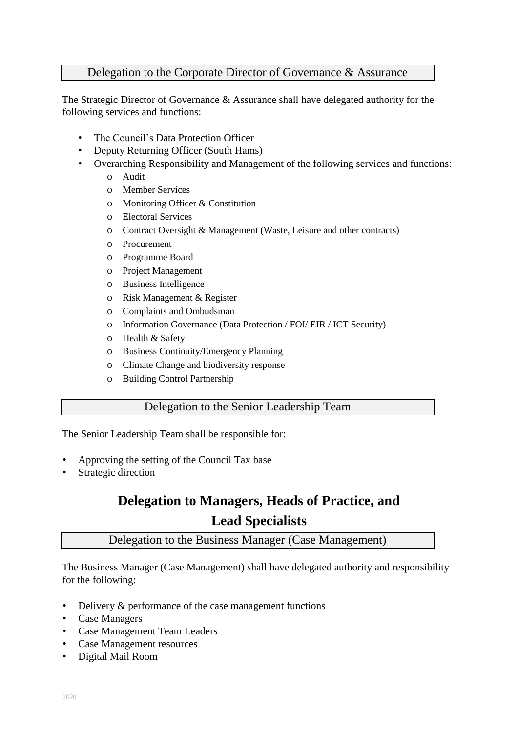#### Delegation to the Corporate Director of Governance & Assurance

The Strategic Director of Governance & Assurance shall have delegated authority for the following services and functions:

- The Council's Data Protection Officer
- Deputy Returning Officer (South Hams)
- Overarching Responsibility and Management of the following services and functions:
	- o Audit
	- o Member Services
	- o Monitoring Officer & Constitution
	- o Electoral Services
	- o Contract Oversight & Management (Waste, Leisure and other contracts)
	- o Procurement
	- o Programme Board
	- o Project Management
	- o Business Intelligence
	- o Risk Management & Register
	- o Complaints and Ombudsman
	- o Information Governance (Data Protection / FOI/ EIR / ICT Security)
	- o Health & Safety
	- o Business Continuity/Emergency Planning
	- o Climate Change and biodiversity response
	- o Building Control Partnership

#### Delegation to the Senior Leadership Team

The Senior Leadership Team shall be responsible for:

- Approving the setting of the Council Tax base
- Strategic direction

# **Delegation to Managers, Heads of Practice, and Lead Specialists**

#### Delegation to the Business Manager (Case Management)

The Business Manager (Case Management) shall have delegated authority and responsibility for the following:

- Delivery & performance of the case management functions
- Case Managers
- Case Management Team Leaders
- Case Management resources
- Digital Mail Room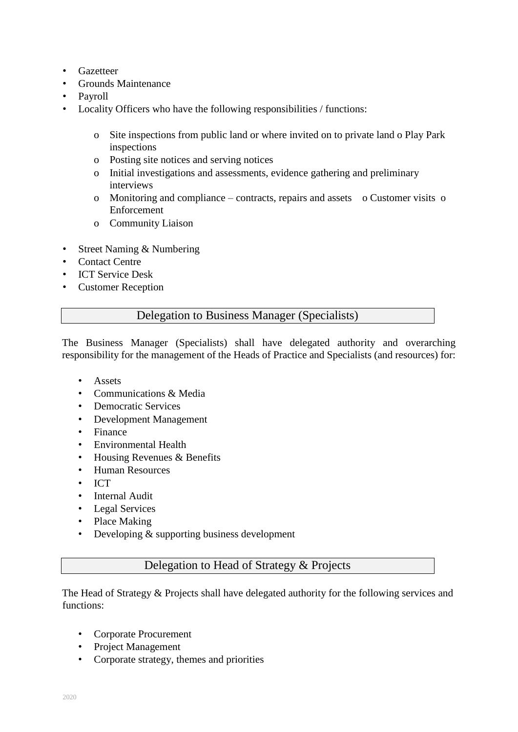- Gazetteer
- Grounds Maintenance
- Payroll
- Locality Officers who have the following responsibilities / functions:
	- o Site inspections from public land or where invited on to private land o Play Park inspections
	- o Posting site notices and serving notices
	- o Initial investigations and assessments, evidence gathering and preliminary interviews
	- o Monitoring and compliance contracts, repairs and assets o Customer visits o Enforcement
	- o Community Liaison
- Street Naming & Numbering
- Contact Centre
- ICT Service Desk
- Customer Reception

#### Delegation to Business Manager (Specialists)

The Business Manager (Specialists) shall have delegated authority and overarching responsibility for the management of the Heads of Practice and Specialists (and resources) for:

- Assets
- Communications & Media
- Democratic Services
- Development Management
- Finance
- Environmental Health
- Housing Revenues & Benefits
- Human Resources
- ICT
- Internal Audit
- Legal Services
- Place Making
- Developing & supporting business development

#### Delegation to Head of Strategy & Projects

The Head of Strategy & Projects shall have delegated authority for the following services and functions:

- Corporate Procurement
- Project Management
- Corporate strategy, themes and priorities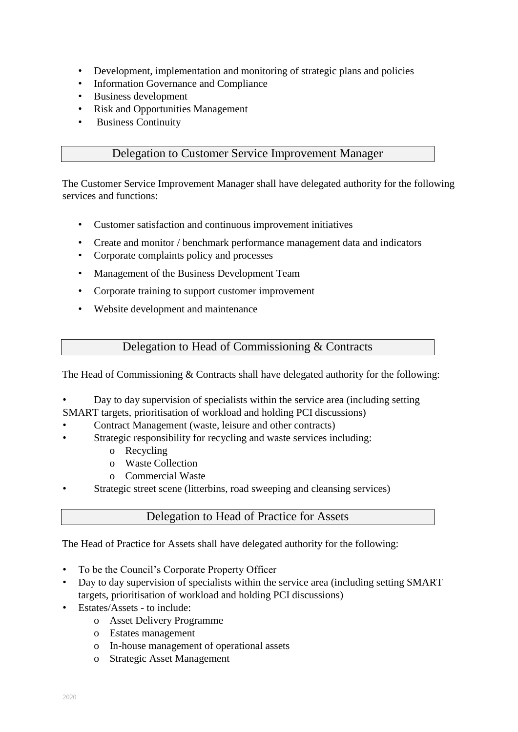- Development, implementation and monitoring of strategic plans and policies
- Information Governance and Compliance
- Business development
- Risk and Opportunities Management
- Business Continuity

#### Delegation to Customer Service Improvement Manager

The Customer Service Improvement Manager shall have delegated authority for the following services and functions:

- Customer satisfaction and continuous improvement initiatives
- Create and monitor / benchmark performance management data and indicators
- Corporate complaints policy and processes
- Management of the Business Development Team
- Corporate training to support customer improvement
- Website development and maintenance

#### Delegation to Head of Commissioning & Contracts

The Head of Commissioning & Contracts shall have delegated authority for the following:

- Day to day supervision of specialists within the service area (including setting
- SMART targets, prioritisation of workload and holding PCI discussions)
- Contract Management (waste, leisure and other contracts)
- Strategic responsibility for recycling and waste services including:
	- o Recycling
	- o Waste Collection
	- o Commercial Waste
- Strategic street scene (litterbins, road sweeping and cleansing services)

#### Delegation to Head of Practice for Assets

The Head of Practice for Assets shall have delegated authority for the following:

- To be the Council's Corporate Property Officer
- Day to day supervision of specialists within the service area (including setting SMART targets, prioritisation of workload and holding PCI discussions)
- Estates/Assets to include:
	- o Asset Delivery Programme
	- o Estates management
	- o In-house management of operational assets
	- o Strategic Asset Management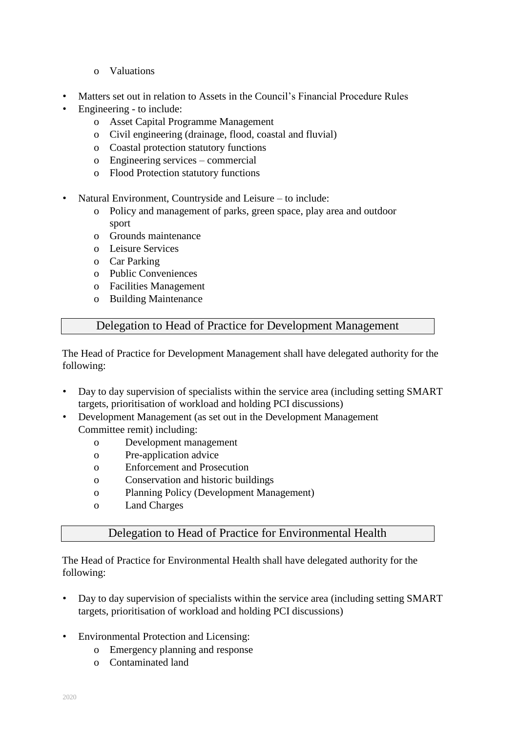- o Valuations
- Matters set out in relation to Assets in the Council's Financial Procedure Rules
- Engineering to include:
	- o Asset Capital Programme Management
	- o Civil engineering (drainage, flood, coastal and fluvial)
	- o Coastal protection statutory functions
	- o Engineering services commercial
	- o Flood Protection statutory functions
- Natural Environment, Countryside and Leisure to include:
	- o Policy and management of parks, green space, play area and outdoor sport
	- o Grounds maintenance
	- o Leisure Services
	- o Car Parking
	- o Public Conveniences
	- o Facilities Management
	- o Building Maintenance

#### Delegation to Head of Practice for Development Management

The Head of Practice for Development Management shall have delegated authority for the following:

- Day to day supervision of specialists within the service area (including setting SMART targets, prioritisation of workload and holding PCI discussions)
- Development Management (as set out in the Development Management Committee remit) including:
	- o Development management
	- o Pre-application advice
	- o Enforcement and Prosecution
	- o Conservation and historic buildings
	- o Planning Policy (Development Management)
	- o Land Charges

#### Delegation to Head of Practice for Environmental Health

The Head of Practice for Environmental Health shall have delegated authority for the following:

- Day to day supervision of specialists within the service area (including setting SMART targets, prioritisation of workload and holding PCI discussions)
- Environmental Protection and Licensing:
	- o Emergency planning and response
	- o Contaminated land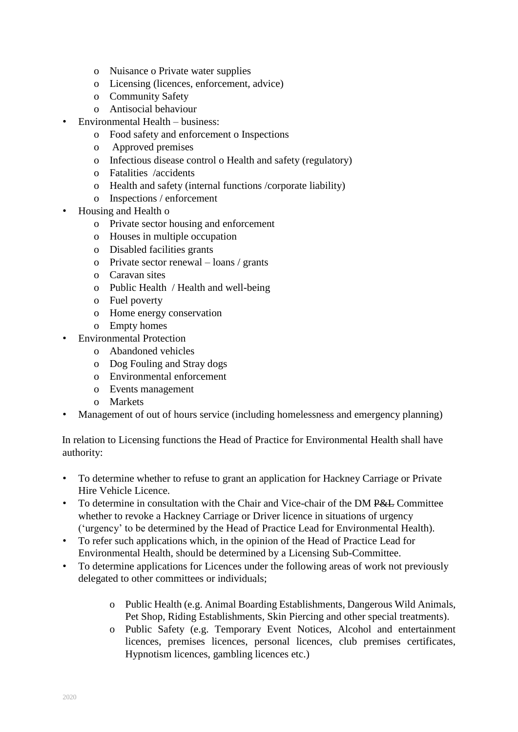- o Nuisance o Private water supplies
- o Licensing (licences, enforcement, advice)
- o Community Safety
- o Antisocial behaviour
- Environmental Health business:
	- o Food safety and enforcement o Inspections
	- o Approved premises
	- o Infectious disease control o Health and safety (regulatory)
	- o Fatalities /accidents
	- o Health and safety (internal functions /corporate liability)
	- o Inspections / enforcement
- Housing and Health o
	- o Private sector housing and enforcement
	- o Houses in multiple occupation
	- o Disabled facilities grants
	- o Private sector renewal loans / grants
	- o Caravan sites
	- o Public Health / Health and well-being
	- o Fuel poverty
	- o Home energy conservation
	- o Empty homes
- Environmental Protection
	- o Abandoned vehicles
	- o Dog Fouling and Stray dogs
	- o Environmental enforcement
	- o Events management
	- o Markets
- Management of out of hours service (including homelessness and emergency planning)

In relation to Licensing functions the Head of Practice for Environmental Health shall have authority:

- To determine whether to refuse to grant an application for Hackney Carriage or Private Hire Vehicle Licence.
- To determine in consultation with the Chair and Vice-chair of the DM P&L Committee whether to revoke a Hackney Carriage or Driver licence in situations of urgency ('urgency' to be determined by the Head of Practice Lead for Environmental Health).
- To refer such applications which, in the opinion of the Head of Practice Lead for Environmental Health, should be determined by a Licensing Sub-Committee.
- To determine applications for Licences under the following areas of work not previously delegated to other committees or individuals;
	- o Public Health (e.g. Animal Boarding Establishments, Dangerous Wild Animals, Pet Shop, Riding Establishments, Skin Piercing and other special treatments).
	- o Public Safety (e.g. Temporary Event Notices, Alcohol and entertainment licences, premises licences, personal licences, club premises certificates, Hypnotism licences, gambling licences etc.)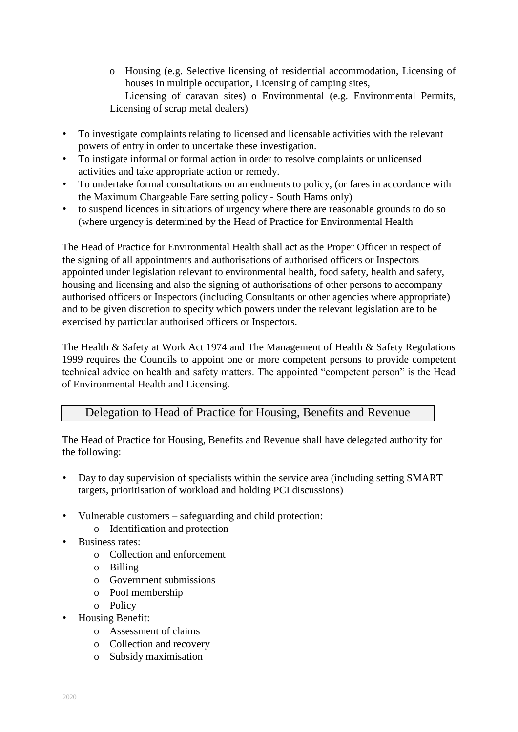- o Housing (e.g. Selective licensing of residential accommodation, Licensing of houses in multiple occupation, Licensing of camping sites, Licensing of caravan sites) o Environmental (e.g. Environmental Permits, Licensing of scrap metal dealers)
- To investigate complaints relating to licensed and licensable activities with the relevant powers of entry in order to undertake these investigation.
- To instigate informal or formal action in order to resolve complaints or unlicensed activities and take appropriate action or remedy.
- To undertake formal consultations on amendments to policy, (or fares in accordance with the Maximum Chargeable Fare setting policy - South Hams only)
- to suspend licences in situations of urgency where there are reasonable grounds to do so (where urgency is determined by the Head of Practice for Environmental Health

The Head of Practice for Environmental Health shall act as the Proper Officer in respect of the signing of all appointments and authorisations of authorised officers or Inspectors appointed under legislation relevant to environmental health, food safety, health and safety, housing and licensing and also the signing of authorisations of other persons to accompany authorised officers or Inspectors (including Consultants or other agencies where appropriate) and to be given discretion to specify which powers under the relevant legislation are to be exercised by particular authorised officers or Inspectors.

The Health & Safety at Work Act 1974 and The Management of Health & Safety Regulations 1999 requires the Councils to appoint one or more competent persons to provide competent technical advice on health and safety matters. The appointed "competent person" is the Head of Environmental Health and Licensing.

#### Delegation to Head of Practice for Housing, Benefits and Revenue

The Head of Practice for Housing, Benefits and Revenue shall have delegated authority for the following:

- Day to day supervision of specialists within the service area (including setting SMART targets, prioritisation of workload and holding PCI discussions)
- Vulnerable customers safeguarding and child protection:
	- o Identification and protection
- Business rates:
	- o Collection and enforcement
	- o Billing
	- o Government submissions
	- o Pool membership
	- o Policy
- Housing Benefit:
	- o Assessment of claims
	- o Collection and recovery
	- o Subsidy maximisation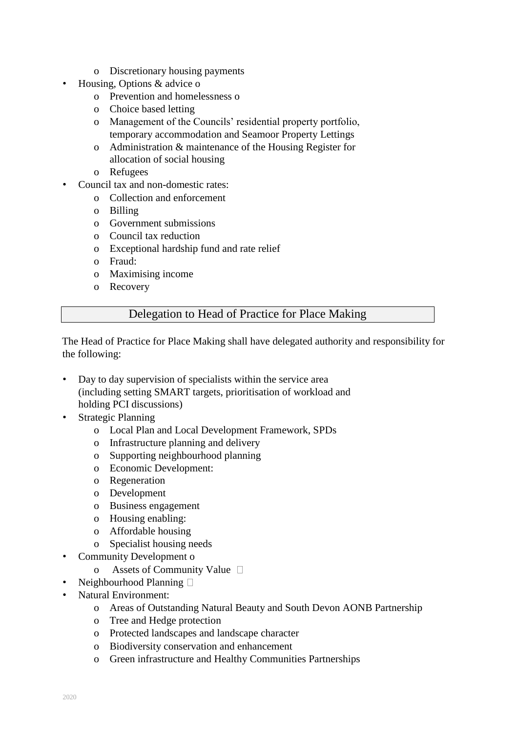- o Discretionary housing payments
- Housing, Options & advice o
	- o Prevention and homelessness o
	- o Choice based letting
	- o Management of the Councils' residential property portfolio, temporary accommodation and Seamoor Property Lettings
	- o Administration & maintenance of the Housing Register for allocation of social housing
	- o Refugees
- Council tax and non-domestic rates:
	- o Collection and enforcement
	- o Billing
	- o Government submissions
	- o Council tax reduction
	- o Exceptional hardship fund and rate relief
	- o Fraud:
	- o Maximising income
	- o Recovery

#### Delegation to Head of Practice for Place Making

The Head of Practice for Place Making shall have delegated authority and responsibility for the following:

- Day to day supervision of specialists within the service area (including setting SMART targets, prioritisation of workload and holding PCI discussions)
- Strategic Planning
	- o Local Plan and Local Development Framework, SPDs
	- o Infrastructure planning and delivery
	- o Supporting neighbourhood planning
	- o Economic Development:
	- o Regeneration
	- o Development
	- o Business engagement
	- o Housing enabling:
	- o Affordable housing
	- o Specialist housing needs
- Community Development o
	- o Assets of Community Value
- Neighbourhood Planning  $\square$
- Natural Environment:
	- o Areas of Outstanding Natural Beauty and South Devon AONB Partnership
	- o Tree and Hedge protection
	- o Protected landscapes and landscape character
	- o Biodiversity conservation and enhancement
	- o Green infrastructure and Healthy Communities Partnerships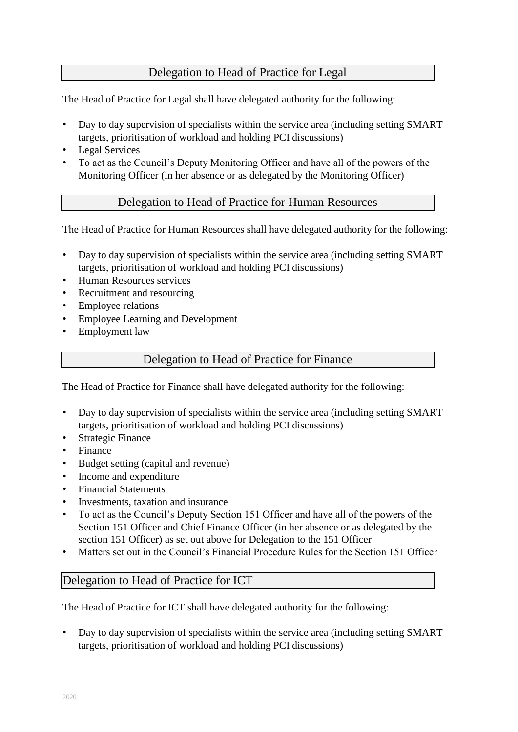### Delegation to Head of Practice for Legal

The Head of Practice for Legal shall have delegated authority for the following:

- Day to day supervision of specialists within the service area (including setting SMART targets, prioritisation of workload and holding PCI discussions)
- Legal Services
- To act as the Council's Deputy Monitoring Officer and have all of the powers of the Monitoring Officer (in her absence or as delegated by the Monitoring Officer)

#### Delegation to Head of Practice for Human Resources

The Head of Practice for Human Resources shall have delegated authority for the following:

- Day to day supervision of specialists within the service area (including setting SMART) targets, prioritisation of workload and holding PCI discussions)
- Human Resources services
- Recruitment and resourcing
- Employee relations
- Employee Learning and Development
- Employment law

#### Delegation to Head of Practice for Finance

The Head of Practice for Finance shall have delegated authority for the following:

- Day to day supervision of specialists within the service area (including setting SMART) targets, prioritisation of workload and holding PCI discussions)
- **Strategic Finance**
- Finance
- Budget setting (capital and revenue)
- Income and expenditure
- Financial Statements
- Investments, taxation and insurance
- To act as the Council's Deputy Section 151 Officer and have all of the powers of the Section 151 Officer and Chief Finance Officer (in her absence or as delegated by the section 151 Officer) as set out above for Delegation to the 151 Officer
- Matters set out in the Council's Financial Procedure Rules for the Section 151 Officer

#### Delegation to Head of Practice for ICT

The Head of Practice for ICT shall have delegated authority for the following:

• Day to day supervision of specialists within the service area (including setting SMART targets, prioritisation of workload and holding PCI discussions)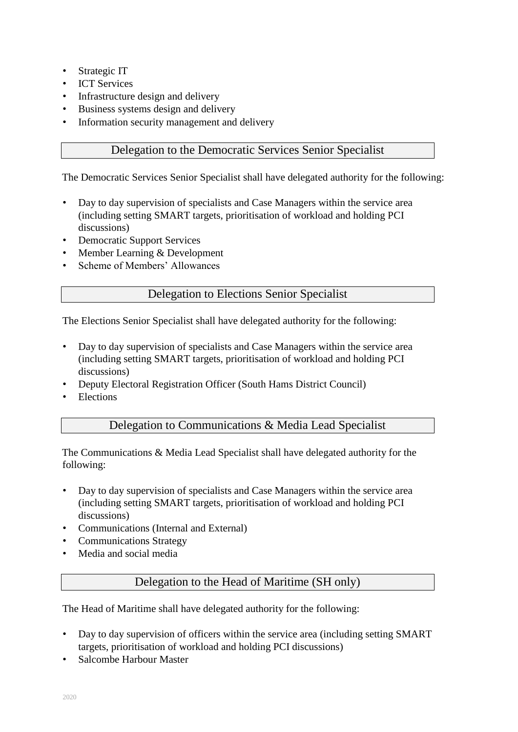- Strategic IT
- ICT Services
- Infrastructure design and delivery
- Business systems design and delivery
- Information security management and delivery

#### Delegation to the Democratic Services Senior Specialist

The Democratic Services Senior Specialist shall have delegated authority for the following:

- Day to day supervision of specialists and Case Managers within the service area (including setting SMART targets, prioritisation of workload and holding PCI discussions)
- Democratic Support Services
- Member Learning & Development
- Scheme of Members' Allowances

#### Delegation to Elections Senior Specialist

The Elections Senior Specialist shall have delegated authority for the following:

- Day to day supervision of specialists and Case Managers within the service area (including setting SMART targets, prioritisation of workload and holding PCI discussions)
- Deputy Electoral Registration Officer (South Hams District Council)
- **Elections**

#### Delegation to Communications & Media Lead Specialist

The Communications & Media Lead Specialist shall have delegated authority for the following:

- Day to day supervision of specialists and Case Managers within the service area (including setting SMART targets, prioritisation of workload and holding PCI discussions)
- Communications (Internal and External)
- Communications Strategy
- Media and social media

#### Delegation to the Head of Maritime (SH only)

The Head of Maritime shall have delegated authority for the following:

- Day to day supervision of officers within the service area (including setting SMART) targets, prioritisation of workload and holding PCI discussions)
- Salcombe Harbour Master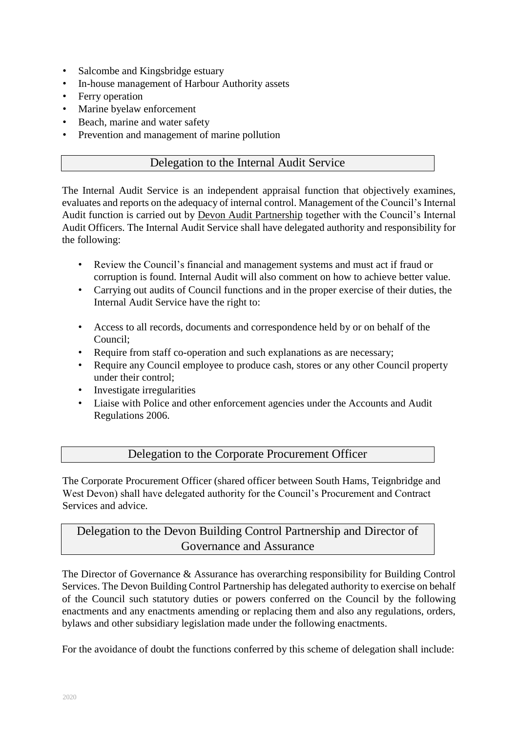- Salcombe and Kingsbridge estuary
- In-house management of Harbour Authority assets
- Ferry operation
- Marine byelaw enforcement
- Beach, marine and water safety
- Prevention and management of marine pollution

#### Delegation to the Internal Audit Service

The Internal Audit Service is an independent appraisal function that objectively examines, evaluates and reports on the adequacy of internal control. Management of the Council's Internal Audit function is carried out by Devon Audit Partnership together with the Council's Internal Audit Officers. The Internal Audit Service shall have delegated authority and responsibility for the following:

- Review the Council's financial and management systems and must act if fraud or corruption is found. Internal Audit will also comment on how to achieve better value.
- Carrying out audits of Council functions and in the proper exercise of their duties, the Internal Audit Service have the right to:
- Access to all records, documents and correspondence held by or on behalf of the Council;
- Require from staff co-operation and such explanations as are necessary;
- Require any Council employee to produce cash, stores or any other Council property under their control;
- Investigate irregularities
- Liaise with Police and other enforcement agencies under the Accounts and Audit Regulations 2006.

#### Delegation to the Corporate Procurement Officer

The Corporate Procurement Officer (shared officer between South Hams, Teignbridge and West Devon) shall have delegated authority for the Council's Procurement and Contract Services and advice.

## Delegation to the Devon Building Control Partnership and Director of Governance and Assurance

The Director of Governance & Assurance has overarching responsibility for Building Control Services. The Devon Building Control Partnership has delegated authority to exercise on behalf of the Council such statutory duties or powers conferred on the Council by the following enactments and any enactments amending or replacing them and also any regulations, orders, bylaws and other subsidiary legislation made under the following enactments.

For the avoidance of doubt the functions conferred by this scheme of delegation shall include: